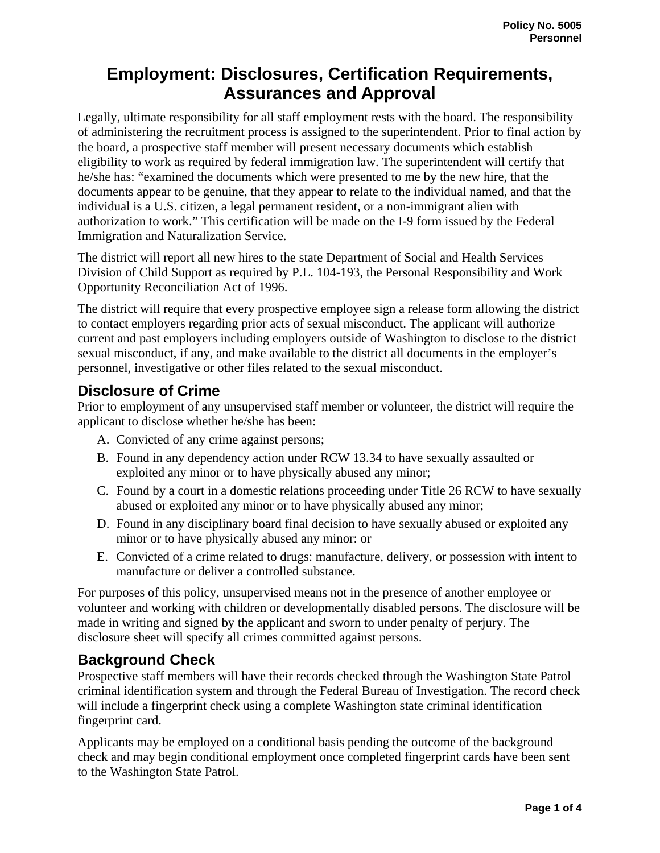# **Employment: Disclosures, Certification Requirements, Assurances and Approval**

Legally, ultimate responsibility for all staff employment rests with the board. The responsibility of administering the recruitment process is assigned to the superintendent. Prior to final action by the board, a prospective staff member will present necessary documents which establish eligibility to work as required by federal immigration law. The superintendent will certify that he/she has: "examined the documents which were presented to me by the new hire, that the documents appear to be genuine, that they appear to relate to the individual named, and that the individual is a U.S. citizen, a legal permanent resident, or a non-immigrant alien with authorization to work." This certification will be made on the I-9 form issued by the Federal Immigration and Naturalization Service.

The district will report all new hires to the state Department of Social and Health Services Division of Child Support as required by P.L. 104-193, the Personal Responsibility and Work Opportunity Reconciliation Act of 1996.

The district will require that every prospective employee sign a release form allowing the district to contact employers regarding prior acts of sexual misconduct. The applicant will authorize current and past employers including employers outside of Washington to disclose to the district sexual misconduct, if any, and make available to the district all documents in the employer's personnel, investigative or other files related to the sexual misconduct.

## **Disclosure of Crime**

Prior to employment of any unsupervised staff member or volunteer, the district will require the applicant to disclose whether he/she has been:

- A. Convicted of any crime against persons;
- B. Found in any dependency action under RCW 13.34 to have sexually assaulted or exploited any minor or to have physically abused any minor;
- C. Found by a court in a domestic relations proceeding under Title 26 RCW to have sexually abused or exploited any minor or to have physically abused any minor;
- D. Found in any disciplinary board final decision to have sexually abused or exploited any minor or to have physically abused any minor: or
- E. Convicted of a crime related to drugs: manufacture, delivery, or possession with intent to manufacture or deliver a controlled substance.

For purposes of this policy, unsupervised means not in the presence of another employee or volunteer and working with children or developmentally disabled persons. The disclosure will be made in writing and signed by the applicant and sworn to under penalty of perjury. The disclosure sheet will specify all crimes committed against persons.

## **Background Check**

Prospective staff members will have their records checked through the Washington State Patrol criminal identification system and through the Federal Bureau of Investigation. The record check will include a fingerprint check using a complete Washington state criminal identification fingerprint card.

Applicants may be employed on a conditional basis pending the outcome of the background check and may begin conditional employment once completed fingerprint cards have been sent to the Washington State Patrol.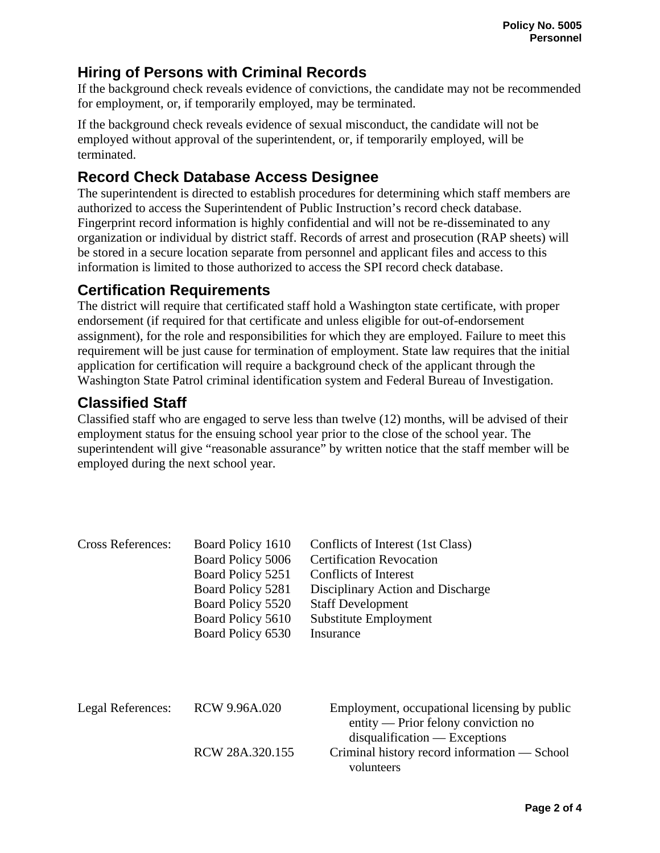## **Hiring of Persons with Criminal Records**

If the background check reveals evidence of convictions, the candidate may not be recommended for employment, or, if temporarily employed, may be terminated.

If the background check reveals evidence of sexual misconduct, the candidate will not be employed without approval of the superintendent, or, if temporarily employed, will be terminated.

#### **Record Check Database Access Designee**

The superintendent is directed to establish procedures for determining which staff members are authorized to access the Superintendent of Public Instruction's record check database. Fingerprint record information is highly confidential and will not be re-disseminated to any organization or individual by district staff. Records of arrest and prosecution (RAP sheets) will be stored in a secure location separate from personnel and applicant files and access to this information is limited to those authorized to access the SPI record check database.

## **Certification Requirements**

The district will require that certificated staff hold a Washington state certificate, with proper endorsement (if required for that certificate and unless eligible for out-of-endorsement assignment), for the role and responsibilities for which they are employed. Failure to meet this requirement will be just cause for termination of employment. State law requires that the initial application for certification will require a background check of the applicant through the Washington State Patrol criminal identification system and Federal Bureau of Investigation.

## **Classified Staff**

Classified staff who are engaged to serve less than twelve (12) months, will be advised of their employment status for the ensuing school year prior to the close of the school year. The superintendent will give "reasonable assurance" by written notice that the staff member will be employed during the next school year.

| <b>Cross References:</b> | Board Policy 1610 | Conflicts of Interest (1st Class)                                                                                        |  |
|--------------------------|-------------------|--------------------------------------------------------------------------------------------------------------------------|--|
|                          | Board Policy 5006 | <b>Certification Revocation</b>                                                                                          |  |
|                          | Board Policy 5251 | Conflicts of Interest                                                                                                    |  |
|                          | Board Policy 5281 | Disciplinary Action and Discharge                                                                                        |  |
|                          | Board Policy 5520 | <b>Staff Development</b>                                                                                                 |  |
|                          | Board Policy 5610 | Substitute Employment                                                                                                    |  |
|                          | Board Policy 6530 | Insurance                                                                                                                |  |
|                          |                   |                                                                                                                          |  |
| Legal References:        | RCW 9.96A.020     | Employment, occupational licensing by public<br>$entity$ — Prior felony conviction no<br>$disqualification - Exceptions$ |  |
|                          | RCW 28A.320.155   | Criminal history record information — School<br>volunteers                                                               |  |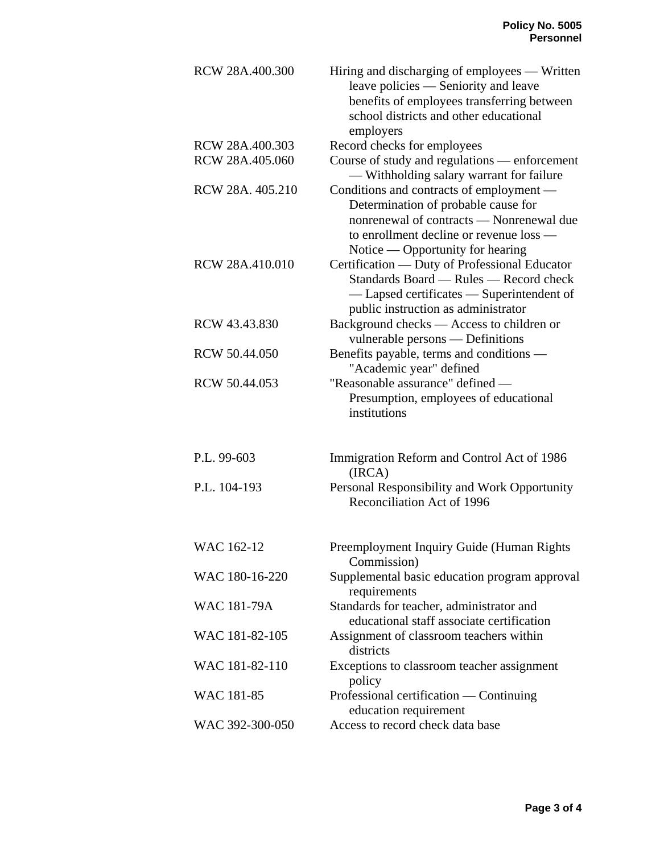| RCW 28A.400.300        | Hiring and discharging of employees — Written<br>leave policies - Seniority and leave<br>benefits of employees transferring between<br>school districts and other educational<br>employers                 |
|------------------------|------------------------------------------------------------------------------------------------------------------------------------------------------------------------------------------------------------|
| RCW 28A.400.303        | Record checks for employees                                                                                                                                                                                |
| RCW 28A.405.060        | Course of study and regulations — enforcement                                                                                                                                                              |
|                        | - Withholding salary warrant for failure                                                                                                                                                                   |
| RCW 28A. 405.210       | Conditions and contracts of employment —<br>Determination of probable cause for<br>nonrenewal of contracts — Nonrenewal due<br>to enrollment decline or revenue loss —<br>Notice — Opportunity for hearing |
| <b>RCW 28A.410.010</b> | Certification — Duty of Professional Educator<br>Standards Board — Rules — Record check<br>-Lapsed certificates - Superintendent of<br>public instruction as administrator                                 |
| RCW 43.43.830          | Background checks — Access to children or<br>vulnerable persons — Definitions                                                                                                                              |
| RCW 50.44.050          | Benefits payable, terms and conditions —<br>"Academic year" defined                                                                                                                                        |
| RCW 50.44.053          | "Reasonable assurance" defined —<br>Presumption, employees of educational<br>institutions                                                                                                                  |
| P.L. 99-603            | Immigration Reform and Control Act of 1986<br>(IRCA)                                                                                                                                                       |
| P.L. 104-193           | Personal Responsibility and Work Opportunity<br>Reconciliation Act of 1996                                                                                                                                 |
| WAC 162-12             | Preemployment Inquiry Guide (Human Rights                                                                                                                                                                  |
| WAC 180-16-220         | Commission)<br>Supplemental basic education program approval<br>requirements                                                                                                                               |
| <b>WAC 181-79A</b>     | Standards for teacher, administrator and<br>educational staff associate certification                                                                                                                      |
| WAC 181-82-105         | Assignment of classroom teachers within<br>districts                                                                                                                                                       |
| WAC 181-82-110         | Exceptions to classroom teacher assignment<br>policy                                                                                                                                                       |
| WAC 181-85             | Professional certification — Continuing<br>education requirement                                                                                                                                           |
| WAC 392-300-050        | Access to record check data base                                                                                                                                                                           |